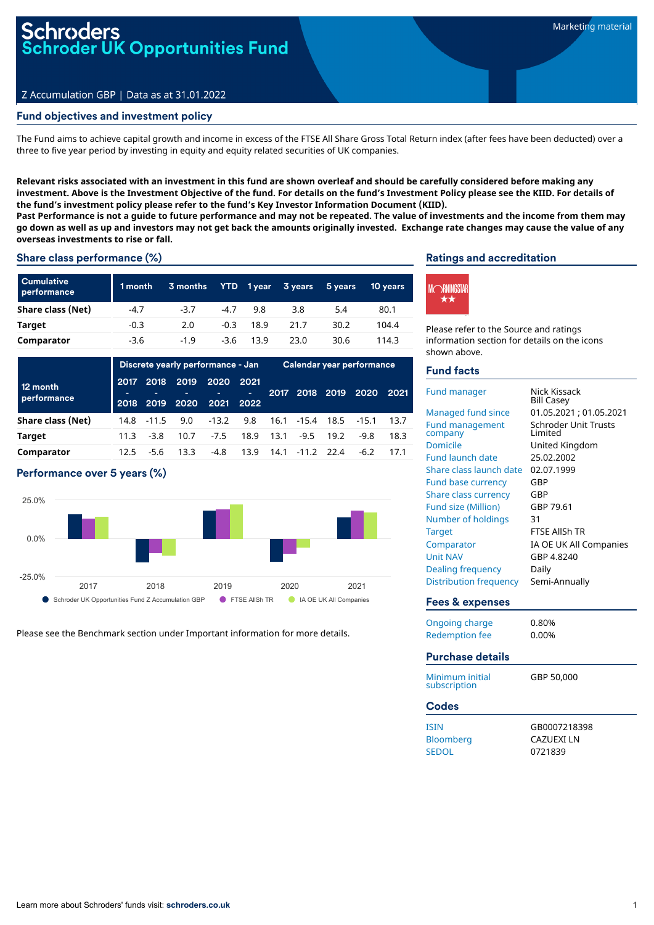# i<mark>roders</mark><br>roder UK Opportunities Fund

#### Z Accumulation GBP | Data as at 31.01.2022

#### Fund objectives and investment policy

The Fund aims to achieve capital growth and income in excess of the FTSE All Share Gross Total Return index (after fees have been deducted) over a three to five year period by investing in equity and equity related securities of UK companies.

Relevant risks associated with an investment in this fund are shown overleaf and should be carefully considered before making any investment. Above is the Investment Objective of the fund. For details on the fund's Investment Policy please see the KIID. For details of **the fund's investment policy please refer to the fund's Key Investor Information Document (KIID).**

Past Performance is not a guide to future performance and may not be repeated. The value of investments and the income from them may go down as well as up and investors may not get back the amounts originally invested. Exchange rate changes may cause the value of any **overseas investments to rise or fall.**

#### Share class performance (%)

| <b>Cumulative</b><br>performance | 1 month | 3 months |        |      | YTD 1year 3years | 5 years | 10 years |
|----------------------------------|---------|----------|--------|------|------------------|---------|----------|
| Share class (Net)                | $-4.7$  | $-3.7$   | $-4.7$ | 9.8  | 3.8              | 5.4     | 80.1     |
| Target                           | $-0.3$  | 2.0      | $-0.3$ | 18.9 | 21.7             | 30.2    | 104.4    |
| Comparator                       | $-3.6$  | $-1.9$   | $-3.6$ | 13.9 | 23.0             | 30.6    | 114.3    |

|                         | Discrete yearly performance - Jan |             |                   |              | Calendar year performance |      |              |           |                           |      |
|-------------------------|-----------------------------------|-------------|-------------------|--------------|---------------------------|------|--------------|-----------|---------------------------|------|
| 12 month<br>performance | 2018                              | 2017 2018   | 2019<br>2019 2020 | 2020<br>2021 | 2021<br>m.<br>2022        | 2017 |              | 2018 2019 | 2020                      | 2021 |
| Share class (Net)       |                                   | 14.8 - 11.5 | 9.0               | $-13.2$      |                           |      |              |           | 9.8 16.1 -15.4 18.5 -15.1 | 13.7 |
| <b>Target</b>           | 11.3                              | $-3.8$      | 10.7              | $-7.5$       | 18.9                      | 13.1 | $-9.5$       | 19.2      | -9.8                      | 18.3 |
| Comparator              | 12.5                              | -5.6        | 13.3              | -4.8         | 13.9                      | 14.1 | $-11.2$ 22.4 |           | $-6.2$                    | 17.1 |

#### Performance over 5 years (%)



Please see the Benchmark section under Important information for more details.

#### Ratings and accreditation



Please refer to the Source and ratings information section for details on the icons shown above.

#### Fund facts

| <b>Fund manager</b><br>Managed fund since<br><b>Fund management</b><br>company<br>Domicile<br><b>Fund launch date</b><br>Share class launch date<br><b>Fund base currency</b> | Nick Kissack<br><b>Bill Casey</b><br>01.05.2021; 01.05.2021<br><b>Schroder Unit Trusts</b><br>I imited<br>United Kingdom<br>25.02.2002<br>02.07.1999<br>GBP |
|-------------------------------------------------------------------------------------------------------------------------------------------------------------------------------|-------------------------------------------------------------------------------------------------------------------------------------------------------------|
| <b>Share class currency</b><br><b>Fund size (Million)</b>                                                                                                                     | GBP<br>GBP 79.61                                                                                                                                            |
| Number of holdings                                                                                                                                                            | 31                                                                                                                                                          |
| <b>Target</b>                                                                                                                                                                 | <b>FTSE AllSh TR</b>                                                                                                                                        |
| Comparator                                                                                                                                                                    | IA OE UK All Companies                                                                                                                                      |
| <b>Unit NAV</b>                                                                                                                                                               | GBP 4.8240                                                                                                                                                  |
| Dealing frequency                                                                                                                                                             | Daily                                                                                                                                                       |
| <b>Distribution frequency</b>                                                                                                                                                 | Semi-Annually                                                                                                                                               |
| <b>Fees &amp; expenses</b>                                                                                                                                                    |                                                                                                                                                             |
| <b>Ongoing charge</b>                                                                                                                                                         | 0.80%                                                                                                                                                       |
| <b>Redemption fee</b>                                                                                                                                                         | 0.00%                                                                                                                                                       |
| <b>Purchase details</b>                                                                                                                                                       |                                                                                                                                                             |
| Minimum initial<br>subscription                                                                                                                                               | GBP 50.000                                                                                                                                                  |
| <b>Codes</b>                                                                                                                                                                  |                                                                                                                                                             |
| <b>ISIN</b><br>Bloomberg<br><b>SEDOL</b>                                                                                                                                      | GB0007218398<br><b>CAZUEXILN</b><br>0721839                                                                                                                 |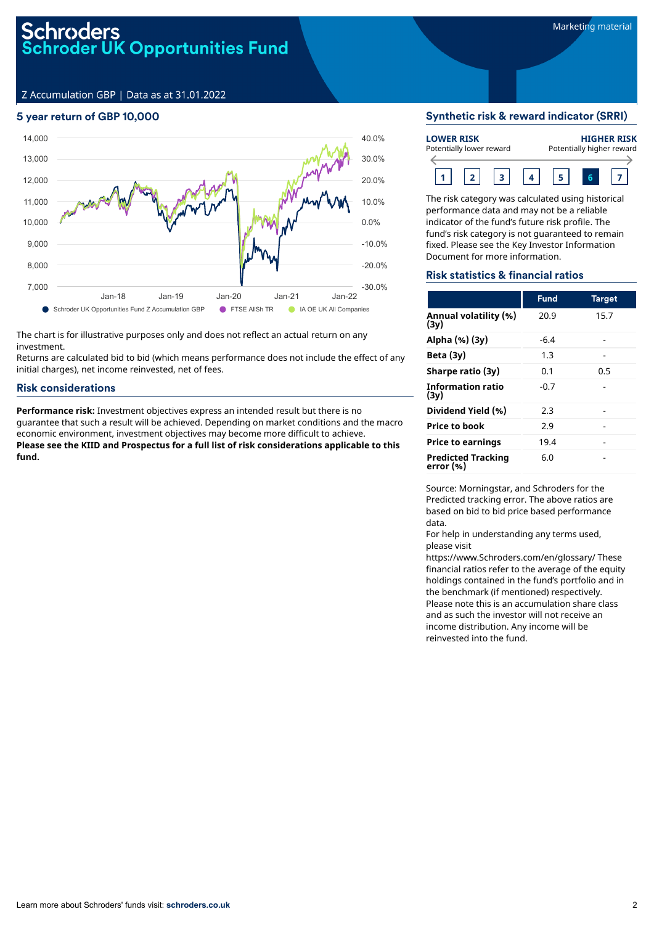Z Accumulation GBP | Data as at 31.01.2022

#### 5 year return of GBP 10,000



The chart is for illustrative purposes only and does not reflect an actual return on any investment.

Returns are calculated bid to bid (which means performance does not include the effect of any initial charges), net income reinvested, net of fees.

#### Risk considerations

**Performance risk:** Investment objectives express an intended result but there is no guarantee that such a result will be achieved. Depending on market conditions and the macro economic environment, investment objectives may become more difficult to achieve. **Please see the KIID and Prospectus for a full list of risk considerations applicable to this fund.**

#### Synthetic risk & reward indicator (SRRI)

| <b>LOWER RISK</b><br>Potentially lower reward |  |  |  |  | <b>HIGHER RISK</b><br>Potentially higher reward |  |  |  |  |  |  |
|-----------------------------------------------|--|--|--|--|-------------------------------------------------|--|--|--|--|--|--|
|                                               |  |  |  |  |                                                 |  |  |  |  |  |  |

The risk category was calculated using historical performance data and may not be a reliable indicator of the fund's future risk profile. The fund's risk category is not guaranteed to remain fixed. Please see the Key Investor Information Document for more information.

#### Risk statistics & financial ratios

|                                        | <b>Fund</b> | <b>Target</b> |
|----------------------------------------|-------------|---------------|
| Annual volatility (%)<br>(3y)          | 20.9        | 15.7          |
| Alpha (%) (3y)                         | $-6.4$      |               |
| Beta $(3y)$                            | 1.3         |               |
| Sharpe ratio (3y)                      | 0.1         | 0.5           |
| <b>Information ratio</b><br>(3v)       | $-0.7$      |               |
| Dividend Yield (%)                     | 2.3         |               |
| <b>Price to book</b>                   | 2.9         |               |
| <b>Price to earnings</b>               | 19.4        |               |
| <b>Predicted Tracking</b><br>error (%) | 6.0         |               |

Source: Morningstar, and Schroders for the Predicted tracking error. The above ratios are based on bid to bid price based performance data.

For help in understanding any terms used, please visit

https://www.Schroders.com/en/glossary/ These financial ratios refer to the average of the equity holdings contained in the fund's portfolio and in the benchmark (if mentioned) respectively. Please note this is an accumulation share class and as such the investor will not receive an income distribution. Any income will be reinvested into the fund.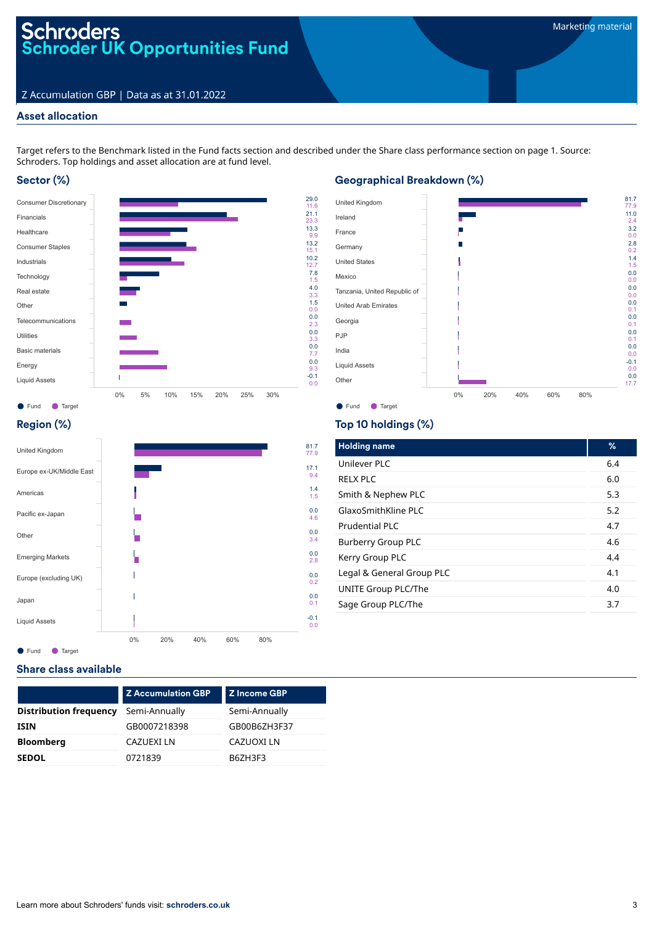# Schroders<br>Schroder UK Opportunities Fund

#### Z Accumulation GBP | Data as at 31.01.2022

#### Asset allocation

Target refers to the Benchmark listed in the Fund facts section and described under the Share class performance section on page 1. Source: Schroders. Top holdings and asset allocation are at fund level.

#### Sector (%)



## Geographical Breakdown (%)



#### Region (%)



### Top 10 holdings (%)

| <b>Holding name</b>       | %   |
|---------------------------|-----|
| Unilever PLC              | 6.4 |
| RFIX PIC                  | 6.0 |
| Smith & Nephew PLC        | 5.3 |
| GlaxoSmithKline PLC       | 5.2 |
| Prudential PLC            | 4.7 |
| <b>Burberry Group PLC</b> | 4.6 |
| Kerry Group PLC           | 4.4 |
| Legal & General Group PLC | 4.1 |
| UNITE Group PLC/The       | 4.0 |
| Sage Group PLC/The        | 3.7 |

### Share class available

|                               | <b>Z Accumulation GBP</b> | Z Income GBP  |  |  |  |
|-------------------------------|---------------------------|---------------|--|--|--|
| <b>Distribution frequency</b> | Semi-Annually             | Semi-Annually |  |  |  |
| <b>ISIN</b>                   | GB0007218398              | GB00B6ZH3F37  |  |  |  |
| <b>Bloomberg</b>              | CAZUEXI LN                | CAZUOXI LN    |  |  |  |
| <b>SEDOL</b>                  | 0721839                   | B6ZH3F3       |  |  |  |